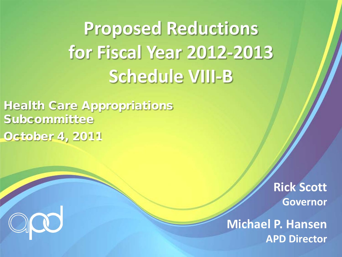**Proposed Reductions for Fiscal Year 2012-2013 Schedule VIII-B**

Health Care Appropriations Subcommittee October 4, 2011

> **Rick Scott Governor**

**Michael P. Hansen APD Director**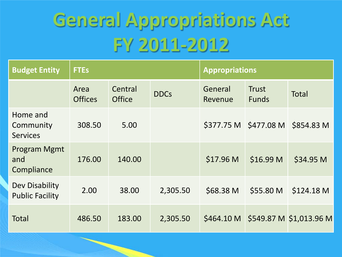# **General Appropriations Act FY 2011-2012**

| <b>Budget Entity</b>                     | <b>FTEs</b>            |                          | <b>Appropriations</b> |                      |                       |                                    |
|------------------------------------------|------------------------|--------------------------|-----------------------|----------------------|-----------------------|------------------------------------|
|                                          | Area<br><b>Offices</b> | Central<br><b>Office</b> | <b>DDCs</b>           | General<br>Revenue   | Trust<br><b>Funds</b> | <b>Total</b>                       |
| Home and<br>Community<br><b>Services</b> | 308.50                 | 5.00                     |                       |                      | \$377.75 M \$477.08 M | \$854.83 M                         |
| Program Mgmt<br>and<br>Compliance        | 176.00                 | 140.00                   |                       | \$17.96 <sub>M</sub> | \$16.99 M             | \$34.95 M                          |
| Dev Disability<br><b>Public Facility</b> | 2.00                   | 38.00                    | 2,305.50              | \$68.38 M            | \$55.80 M             | \$124.18 M                         |
| Total                                    | 486.50                 | 183.00                   | 2,305.50              |                      |                       | \$464.10 M \$549.87 M \$1,013.96 M |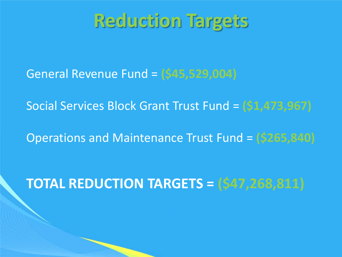#### **Reduction Targets**

General Revenue Fund = **(\$45,529,004)**

Social Services Block Grant Trust Fund = **(\$1,473,967)**

Operations and Maintenance Trust Fund = **(\$265,840)**

#### **TOTAL REDUCTION TARGETS = (\$47,268,811)**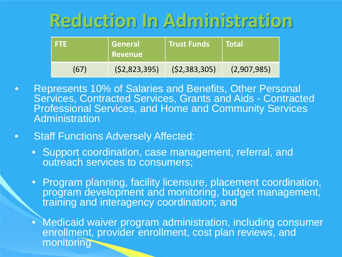## **Reduction In Administration**

| . FTE | General<br>  Revenue | <b>Trust Funds</b> | <b>Total</b> |
|-------|----------------------|--------------------|--------------|
| (67)  | (52,823,395)         | (52, 383, 305)     | (2,907,985)  |

- Represents 10% of Salaries and Benefits, Other Personal Services, Contracted Services, Grants and Aids - Contracted Professional Services, and Home and Community Services Administration
- Staff Functions Adversely Affected:
	- Support coordination, case management, referral, and outreach services to consumers;
	- Program planning, facility licensure, placement coordination, program development and monitoring, budget management, training and interagency coordination; and
	- Medicaid waiver program administration, including consumer enrollment, provider enrollment, cost plan reviews, and monitoring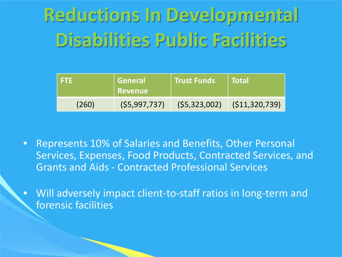# **Reductions In Developmental Disabilities Public Facilities**

| I FTE | ∣ General <sup>∣</sup><br>Revenue | <b>Trust Funds</b> | <b>Total</b>    |
|-------|-----------------------------------|--------------------|-----------------|
| (260) | (55,997,737)                      | (55, 323, 002)     | (S11, 320, 739) |

- Represents 10% of Salaries and Benefits, Other Personal Services, Expenses, Food Products, Contracted Services, and Grants and Aids - Contracted Professional Services
- Will adversely impact client-to-staff ratios in long-term and forensic facilities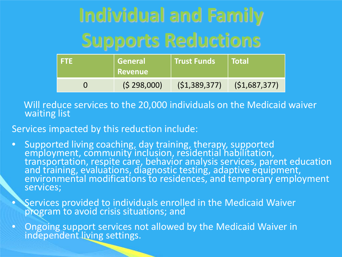# **Individual and Family Supports Reductions**

| I FTE | General<br>∣ Revenue l |                | <b>Total</b> |
|-------|------------------------|----------------|--------------|
|       | (5 298,000)            | (51, 389, 377) | (51,687,377) |

Will reduce services to the 20,000 individuals on the Medicaid waiver waiting list

Services impacted by this reduction include:

• Supported living coaching, day training, therapy, supported employment, community inclusion, residential habilitation, transportation, respite care, behavior analysis services, parent education and training, evaluations, diagnostic testing, adaptive equipment, environmental modifications to residences, and temporary employment services;

• Services provided to individuals enrolled in the Medicaid Waiver program to avoid crisis situations; and

• Ongoing support services not allowed by the Medicaid Waiver in independent living settings.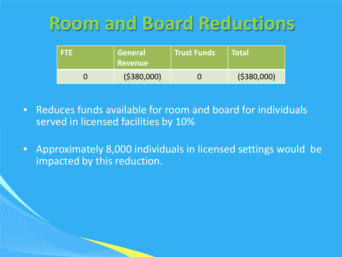### **Room and Board Reductions**

| ETE | General<br><b>Revenue</b> | <b>Trust Funds</b> | <b>Total</b> |
|-----|---------------------------|--------------------|--------------|
|     | ( \$380,000]              |                    | ( \$380,000) |

- Reduces funds available for room and board for individuals served in licensed facilities by 10%
- Approximately 8,000 individuals in licensed settings would be impacted by this reduction.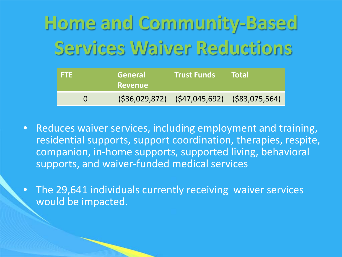**Home and Community-Based Services Waiver Reductions** 

| -FTE | General<br>Revenue | Trust Funds                                     | l Total |
|------|--------------------|-------------------------------------------------|---------|
|      |                    | $(536,029,872)$ $(547,045,692)$ $(583,075,564)$ |         |

- Reduces waiver services, including employment and training, residential supports, support coordination, therapies, respite, companion, in-home supports, supported living, behavioral supports, and waiver-funded medical services
- The 29,641 individuals currently receiving waiver services would be impacted.